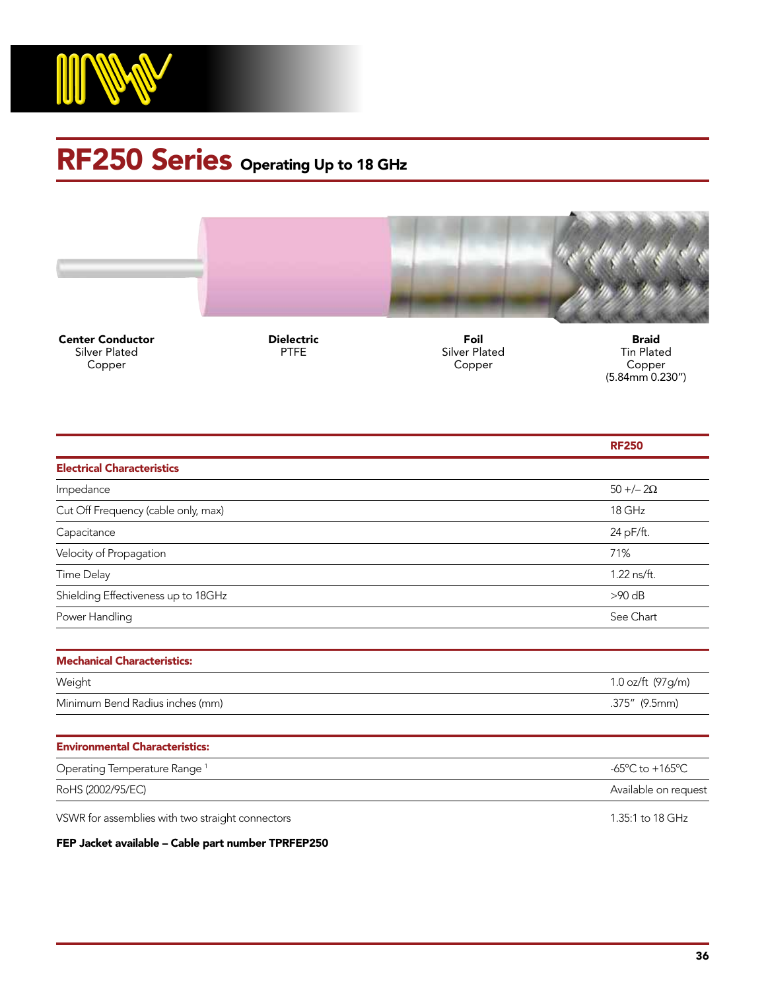

## RF250 Series Operating Up to 18 GHz



Center Conductor Silver Plated Copper

Dielectric **PTFE** 

Foil Silver Plated Copper

Braid Tin Plated Copper (5.84mm 0.230")

|                                                  | <b>RF250</b>                                          |
|--------------------------------------------------|-------------------------------------------------------|
| <b>Electrical Characteristics</b>                |                                                       |
| Impedance                                        | $50 + (-20)$                                          |
| Cut Off Frequency (cable only, max)              | 18 GHz                                                |
| Capacitance                                      | 24 pF/ft.                                             |
| Velocity of Propagation                          | 71%                                                   |
| Time Delay                                       | 1.22 ns/ft.                                           |
| Shielding Effectiveness up to 18GHz              | $>90$ dB                                              |
| Power Handling                                   | See Chart                                             |
|                                                  |                                                       |
| <b>Mechanical Characteristics:</b>               |                                                       |
| Weight                                           | 1.0 oz/ft (97g/m)                                     |
| Minimum Bend Radius inches (mm)                  | .375" (9.5mm)                                         |
|                                                  |                                                       |
| <b>Environmental Characteristics:</b>            |                                                       |
| Operating Temperature Range <sup>1</sup>         | -65 $\mathrm{^{\circ}C}$ to +165 $\mathrm{^{\circ}C}$ |
| RoHS (2002/95/EC)                                | Available on request                                  |
| VSWR for assemblies with two straight connectors | 1.35:1 to 18 GHz                                      |

FEP Jacket available – Cable part number TPRFEP250